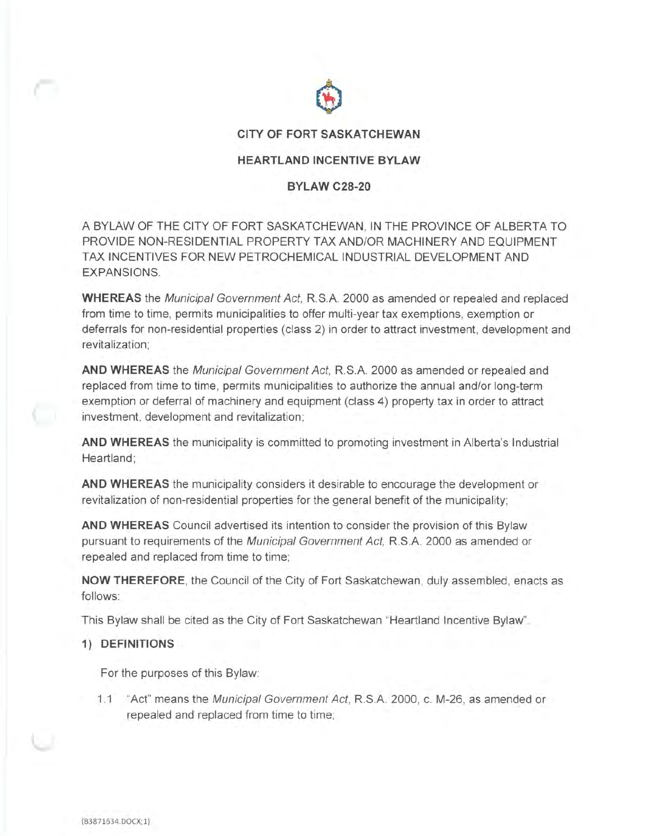

## **CITY OF FORT SASKATCHEWAN**

# **HEARTLAND INCENTIVE BYLAW**

# **BYLAW C28-20**

A BYLAW OF THE CITY OF FORT SASKATCHEWAN, IN THE PROVINCE OF ALBERTA TO PROVIDE NON-RESIDENTIAL PROPERTY TAX AND/OR MACHINERY AND EQUIPMENT TAX INCENTIVES FOR NEW PETROCHEMICAL INDUSTRIAL DEVELOPMENT AND EXPANSIONS.

**WHEREAS** the Municipal Government Act, RS.A. 2000 as amended or repealed and replaced from time to time, permits municipalities to offer multi-year tax exemptions, exemption or deferrals for non-residential properties ( class 2) in order to attract investment, development and revitalization;

**AND WHEREAS** the Municipal Government Act, RS.A. 2000 as amended or repealed and replaced from time to time, permits municipalities to authorize the annual and/or long-term exemption or deferral of machinery and equipment (class 4) property tax in order to attract investment, development and revitalization;

**AND WHEREAS** the municipality is committed to promoting investment in Alberta's Industrial Heartland;

**AND WHEREAS** the municipality considers it desirable to encourage the development or revitalization of non-residential properties for the general benefit of the municipality;

**AND WHEREAS** Council advertised its intention to consider the provision of this Bylaw pursuant to requirements of the Municipal Government Act, R.S.A. 2000 as amended or repealed and replaced from time to time;

**NOW THEREFORE,** the Council of the City of Fort Saskatchewan, duly assembled, enacts as follows:

This Bylaw shall be cited as the City of Fort Saskatchewan "Heartland Incentive Bylaw".

#### **1) DEFINITIONS**

For the purposes of this Bylaw:

1.1 "Act" means the Municipal Government Act, RS.A. 2000, c. M-26, as amended or repealed and replaced from time to time;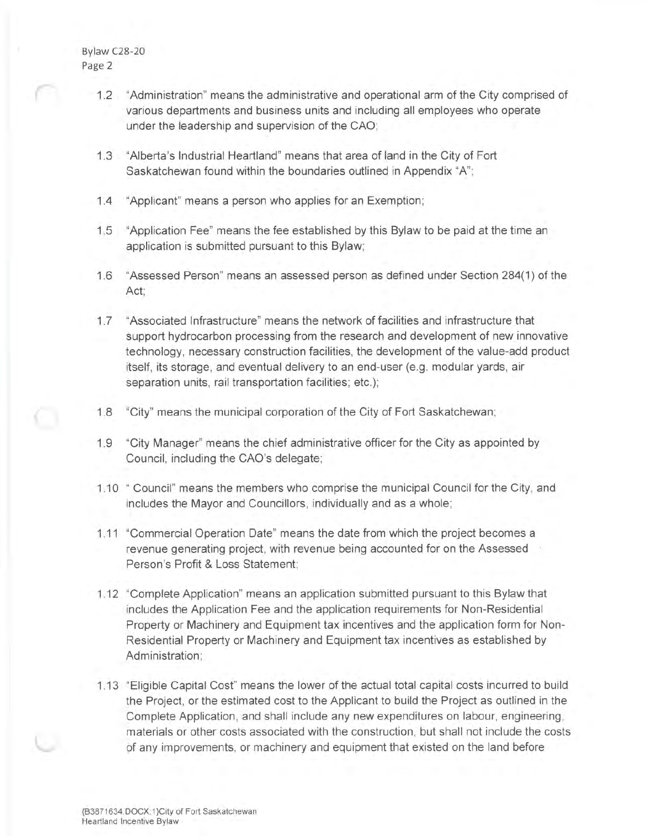- 1.2 "Administration" means the administrative and operational arm of the City comprised of various departments and business units and including all employees who operate under the leadership and supervision of the CAO;
- 1.3 "Alberta's Industrial Heartland" means that area of land in the City of Fort Saskatchewan found within the boundaries outlined in Appendix "A";
- 1.4 "Applicant" means a person who applies for an Exemption;
- 1.5 "Application Fee" means the fee established by this Bylaw to be paid at the time an application is submitted pursuant to this Bylaw;
- 1.6 "Assessed Person" means an assessed person as defined under Section 284(1) of the Act;
- 1. 7 "Associated Infrastructure" means the network of facilities and infrastructure that support hydrocarbon processing from the research and development of new innovative technology, necessary construction facilities, the development of the value-add product itself, its storage, and eventual delivery to an end-user (e.g. modular yards, air separation units, rail transportation facilities; etc.);
- 1.8 "City" means the municipal corporation of the City of Fort Saskatchewan;
- 1.9 "City Manager" means the chief administrative officer for the City as appointed by Council, including the CAO's delegate;
- 1.10 " Council" means the members who comprise the municipal Council for the City, and includes the Mayor and Councillors, individually and as a whole;
- 1.11 "Commercial Operation Date" means the date from which the project becomes a revenue generating project, with revenue being accounted for on the Assessed Person's Profit & Loss Statement;
- 1.12 "Complete Application" means an application submitted pursuant to this Bylaw that includes the Application Fee and the application requirements for Non-Residential Property or Machinery and Equipment tax incentives and the application form for Non-Residential Property or Machinery and Equipment tax incentives as established by Administration;
- 1.13 "Eligible Capital Cost" means the lower of the actual total capital costs incurred to build the Project, or the estimated cost to the Applicant to build the Project as outlined in the Complete Application, and shall include any new expenditures on labour, engineering , materials or other costs associated with the construction, but shall not include the costs of any improvements, or machinery and equipment that existed on the land before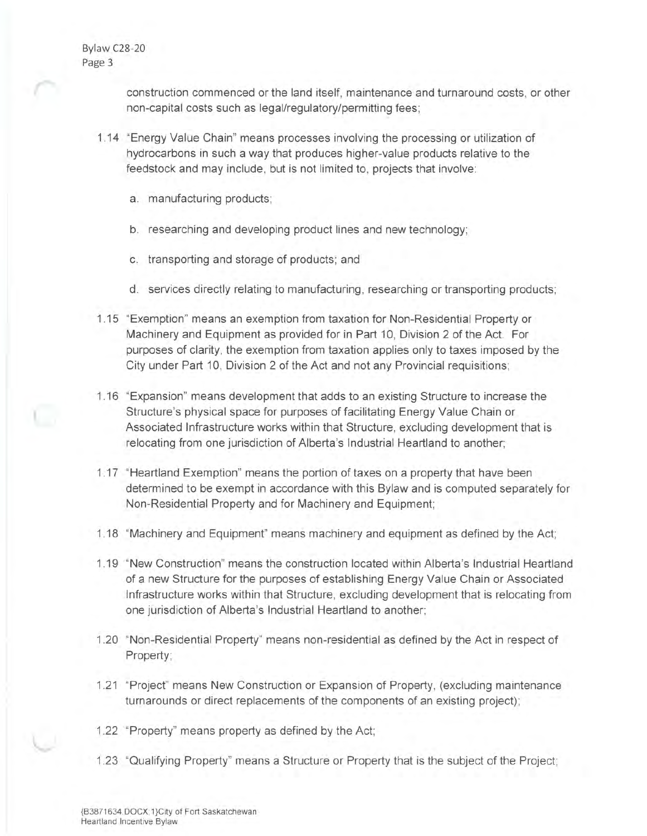> construction commenced or the land itself, maintenance and turnaround costs, or other non-capital costs such as legal/regulatory/permitting fees;

- 1.14 "Energy Value Chain" means processes involving the processing or utilization of hydrocarbons in such a way that produces higher-value products relative to the feedstock and may include, but is not limited to, projects that involve:
	- a. manufacturing products;
	- b. researching and developing product lines and new technology;
	- c. transporting and storage of products; and
	- d. services directly relating to manufacturing, researching or transporting products;
- 1.15 "Exemption" means an exemption from taxation for Non-Residential Property or Machinery and Equipment as provided for in Part 10, Division 2 of the Act. For purposes of clarity, the exemption from taxation applies only to taxes imposed by the City under Part 10, Division 2 of the Act and not any Provincial requisitions;
- 1.16 "Expansion" means development that adds to an existing Structure to increase the Structure's physical space for purposes of facilitating Energy Value Chain or Associated Infrastructure works within that Structure, excluding development that is relocating from one jurisdiction of Alberta's Industrial Heartland to another;
- 1.17 "Heartland Exemption" means the portion of taxes on a property that have been determined to be exempt in accordance with this Bylaw and is computed separately for Non-Residential Property and for Machinery and Equipment;
- 1.18 "Machinery and Equipment" means machinery and equipment as defined by the Act;
- 1.19 "New Construction" means the construction located within Alberta's Industrial Heartland of a new Structure for the purposes of establishing Energy Value Chain or Associated Infrastructure works within that Structure, excluding development that is relocating from one jurisdiction of Alberta's Industrial Heartland to another;
- 1.20 "Non-Residential Property" means non-residential as defined by the Act in respect of Property;
- 1.21 "Project" means New Construction or Expansion of Property, (excluding maintenance turnarounds or direct replacements of the components of an existing project);
- 1.22 "Property" means property as defined by the Act;
- 1.23 "Qualifying Property" means a Structure or Property that is the subject of the Project;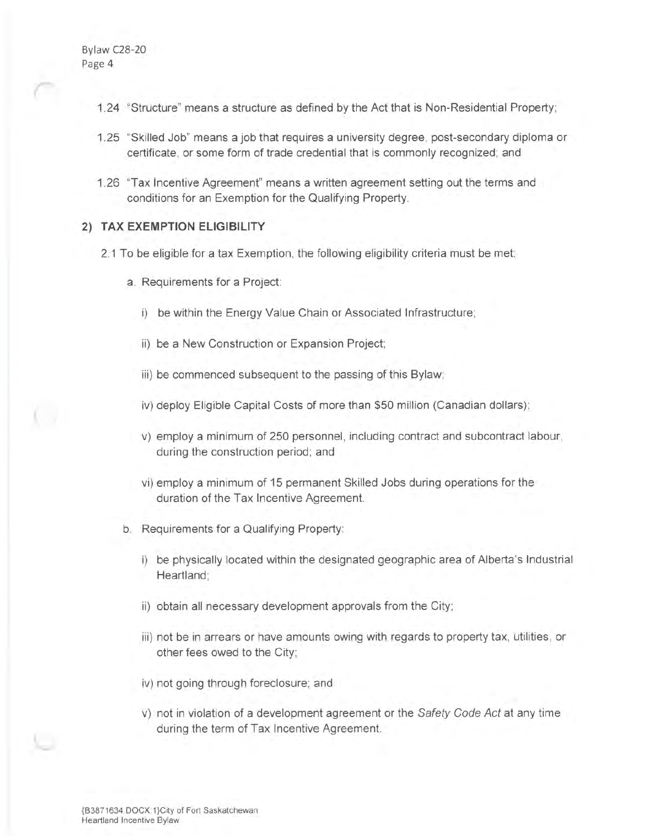- 1.24 "Structure" means a structure as defined by the Act that is Non-Residential Property;
- 1.25 "Skilled Job" means a job that requires a university degree, post-secondary diploma or certificate, or some form of trade credential that is commonly recognized; and
- 1.26 'Tax Incentive Agreement" means a written agreement setting out the terms and conditions for an Exemption for the Qualifying Property.

# **2) TAX EXEMPTION ELIGIBILITY**

- 2.1 To be eligible for a tax Exemption, the following eligibility criteria must be met:
	- a. Requirements for a Project:
		- i) be within the Energy Value Chain or Associated Infrastructure;
		- ii) be a New Construction or Expansion Project;
		- iii) be commenced subsequent to the passing of this Bylaw;
		- iv) deploy Eligible Capital Costs of more than \$50 million (Canadian dollars);
		- v) employ a minimum of 250 personnel, including contract and subcontract labour, during the construction period; and
		- vi) employ a minimum of 15 permanent Skilled Jobs during operations for the duration of the Tax Incentive Agreement.
	- b. Requirements for a Qualifying Property:
		- i) be physically located within the designated geographic area of Alberta's Industrial Heartland;
		- ii) obtain all necessary development approvals from the City;
		- iii) not be in arrears or have amounts owing with regards to property tax, utilities, or other fees owed to the City;
		- iv) not going through foreclosure; and
		- v) not in violation of a development agreement or the Safety Code Act at any time during the term of Tax Incentive Agreement.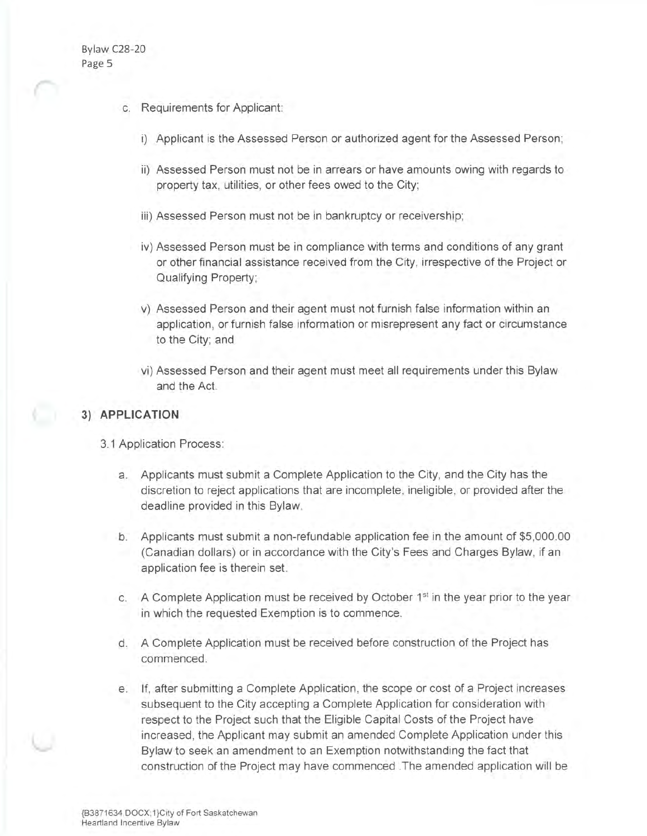- c. Requirements for Applicant:
	- i) Applicant is the Assessed Person or authorized agent for the Assessed Person;
	- ii) Assessed Person must not be in arrears or have amounts owing with regards to property tax, utilities, or other fees owed to the City;
	- iii) Assessed Person must not be in bankruptcy or receivership;
	- iv) Assessed Person must be in compliance with terms and conditions of any grant or other financial assistance received from the City, irrespective of the Project or Qualifying Property;
	- v) Assessed Person and their agent must not furnish false information within an application, or furnish false information or misrepresent any fact or circumstance to the City; and
	- vi) Assessed Person and their agent must meet all requirements under this Bylaw and the Act.

## **3) APPLICATION**

- 3.1 Application Process:
	- a. Applicants must submit a Complete Application to the City, and the City has the discretion to reject applications that are incomplete, ineligible, or provided after the deadline provided in this Bylaw.
	- b. Applicants must submit a non-refundable application fee in the amount of \$5,000.00 (Canadian dollars) or in accordance with the City's Fees and Charges Bylaw, if an application fee is therein set.
	- c. A Complete Application must be received by October 1<sup>st</sup> in the year prior to the year in which the requested Exemption is to commence.
	- d. A Complete Application must be received before construction of the Project has commenced.
	- e. If, after submitting a Complete Application, the scope or cost of a Project increases subsequent to the City accepting a Complete Application for consideration with respect to the Project such that the Eligible Capital Costs of the Project have increased, the Applicant may submit an amended Complete Application under this Bylaw to seek an amendment to an Exemption notwithstanding the fact that construction of the Project may have commenced .The amended application will be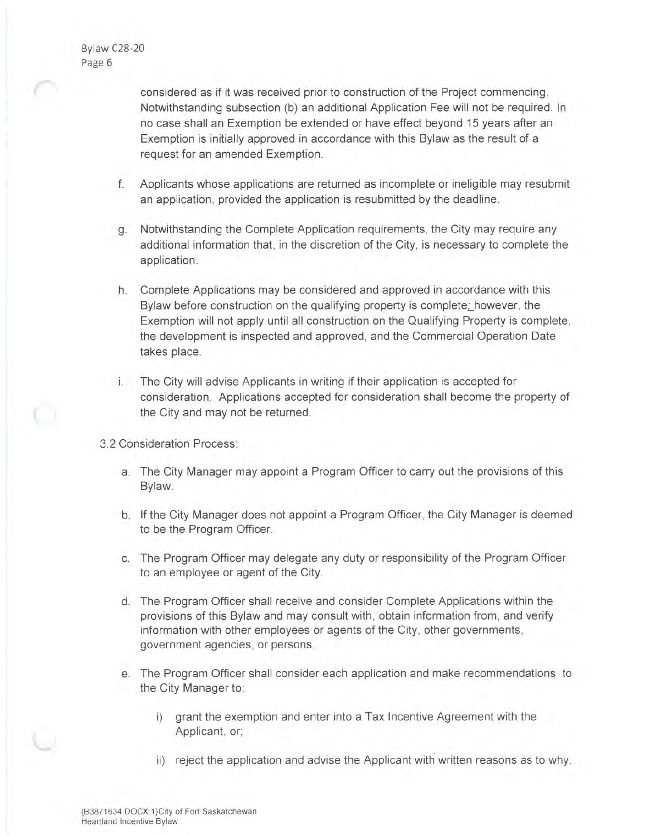considered as if it was received prior to construction of the Project commencing . Notwithstanding subsection (b) an additional Application Fee will not be required. In no case shall an Exemption be extended or have effect beyond 15 years after an Exemption is initially approved in accordance with this Bylaw as the result of a request for an amended Exemption.

- f. Applicants whose applications are returned as incomplete or ineligible may resubmit an application, provided the application is resubmitted by the deadline.
- g. Notwithstanding the Complete Application requirements, the City may require any additional information that, in the discretion of the City, is necessary to complete the application.
- h. Complete Applications may be considered and approved in accordance with this Bylaw before construction on the qualifying property is complete; however, the Exemption will not apply until all construction on the Qualifying Property is complete, the development is inspected and approved, and the Commercial Operation Date takes place.
- i. The City will advise Applicants in writing if their application is accepted for consideration. Applications accepted for consideration shall become the property of the City and may not be returned.
- 3.2 Consideration Process:
	- a. The City Manager may appoint a Program Officer to carry out the provisions of this Bylaw.
	- b. If the City Manager does not appoint a Program Officer, the City Manager is deemed to be the Program Officer.
	- c. The Program Officer may delegate any duty or responsibility of the Program Officer to an employee or agent of the City.
	- d. The Program Officer shall receive and consider Complete Applications within the provisions of this Bylaw and may consult with, obtain information from, and verify information with other employees or agents of the City, other governments, government agencies, or persons.
	- e. The Program Officer shall consider each application and make recommendations to the City Manager to:
		- i) grant the exemption and enter into a Tax Incentive Agreement with the Applicant, or;
		- ii) reject the application and advise the Applicant with written reasons as to why.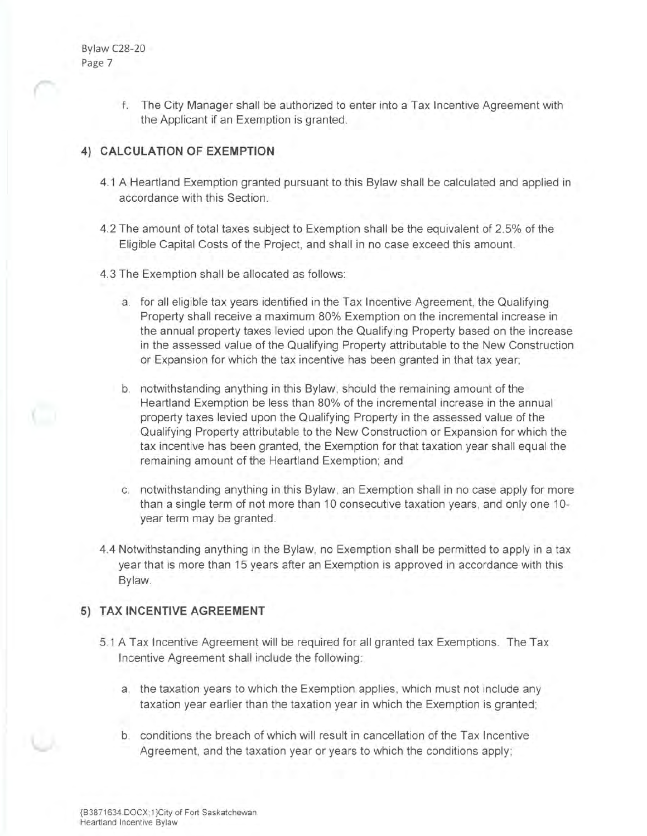> f. The City Manager shall be authorized to enter into a Tax Incentive Agreement with the Applicant if an Exemption is granted.

# **4) CALCULATION OF EXEMPTION**

- 4.1 A Heartland Exemption granted pursuant to this Bylaw shall be calculated and applied in accordance with this Section.
- 4.2 The amount of total taxes subject to Exemption shall be the equivalent of 2.5% of the Eligible Capital Costs of the Project, and shall in no case exceed this amount.
- 4.3 The Exemption shall be allocated as follows:
	- a. for all eligible tax years identified in the Tax Incentive Agreement, the Qualifying Property shall receive a maximum 80% Exemption on the incremental increase in the annual property taxes levied upon the Qualifying Property based on the increase in the assessed value of the Qualifying Property attributable to the New Construction or Expansion for which the tax incentive has been granted in that tax year;
	- b. notwithstanding anything in this Bylaw, should the remaining amount of the Heartland Exemption be less than 80% of the incremental increase in the annual property taxes levied upon the Qualifying Property in the assessed value of the Qualifying Property attributable to the New Construction or Expansion for which the tax incentive has been granted, the Exemption for that taxation year shall equal the remaining amount of the Heartland Exemption; and
	- c. notwithstanding anything in this Bylaw, an Exemption shall in no case apply for more than a single term of not more than 10 consecutive taxation years, and only one 10 year term may be granted.
- 4.4 Notwithstanding anything in the Bylaw, no Exemption shall be permitted to apply in a tax year that is more than 15 years after an Exemption is approved in accordance with this Bylaw.

# **5) TAX INCENTIVE AGREEMENT**

- 5.1 A Tax Incentive Agreement will be required for all granted tax Exemptions. The Tax Incentive Agreement shall include the following:
	- a. the taxation years to which the Exemption applies, which must not include any taxation year earlier than the taxation year in which the Exemption is granted;
	- b. conditions the breach of which will result in cancellation of the Tax Incentive Agreement, and the taxation year or years to which the conditions apply;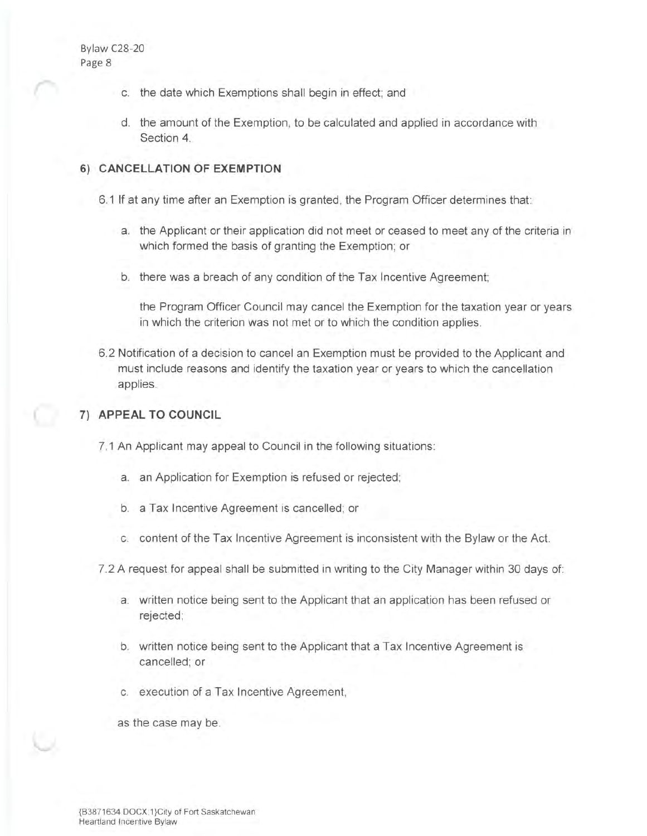- c. the date which Exemptions shall begin in effect; and
- d. the amount of the Exemption, to be calculated and applied in accordance with Section 4.

# **6) CANCELLATION OF EXEMPTION**

6.1 If at any time after an Exemption is granted, the Program Officer determines that:

- a. the Applicant or their application did not meet or ceased to meet any of the criteria in which formed the basis of granting the Exemption; or
- b. there was a breach of any condition of the Tax Incentive Agreement;

the Program Officer Council may cancel the Exemption for the taxation year or years in which the criterion was not met or to which the condition applies.

6.2 Notification of a decision to cancel an Exemption must be provided to the Applicant and must include reasons and identify the taxation year or years to which the cancellation applies.

## **7) APPEAL TO COUNCIL**

7.1 An Applicant may appeal to Council in the following situations:

- a. an Application for Exemption is refused or rejected;
- b. a Tax Incentive Agreement is cancelled; or
- c. content of the Tax Incentive Agreement is inconsistent with the Bylaw or the Act.
- 7.2 A request for appeal shall be submitted in writing to the City Manager within 30 days of:
	- a. written notice being sent to the Applicant that an application has been refused or rejected;
	- b. written notice being sent to the Applicant that a Tax Incentive Agreement is cancelled; or
	- c. execution of a Tax Incentive Agreement,

as the case may be.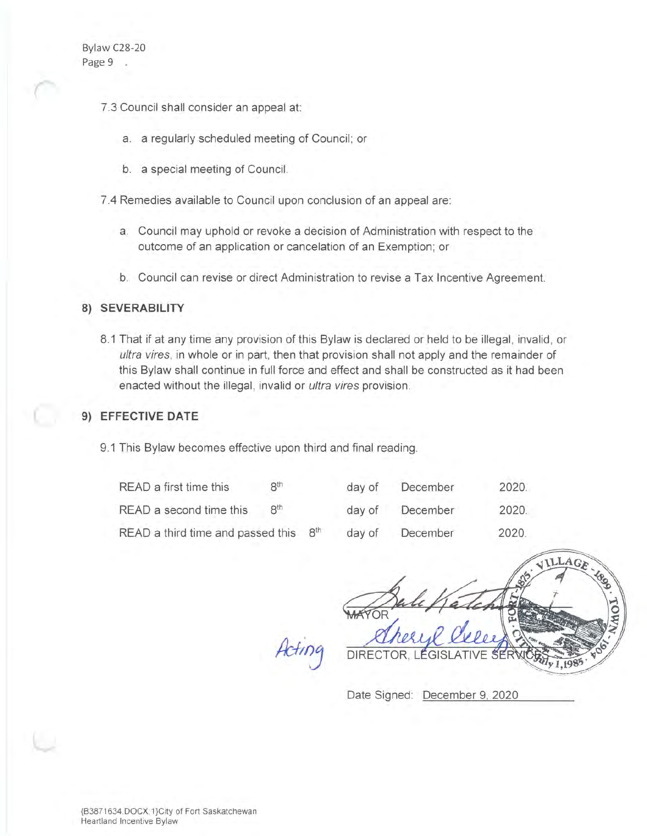- 7.3 Council shall consider an appeal at:
	- a. a regularly scheduled meeting of Council; or
	- b. a special meeting of Council.

7.4 Remedies available to Council upon conclusion of an appeal are:

- a. Council may uphold or revoke a decision of Administration with respect to the outcome of an application or cancelation of an Exemption; or
- b. Council can revise or direct Administration to revise a Tax Incentive Agreement.

# **8) SEVERABILITY**

8.1 That if at any time any provision of this Bylaw is declared or held to be illegal, invalid, or ultra vires, in whole or in part, then that provision shall not apply and the remainder of this Bylaw shall continue in full force and effect and shall be constructed as it had been enacted without the illegal, invalid or ultra vires provision.

# **9) EFFECTIVE DATE**

9.1 This Bylaw becomes effective upon third and final reading.

| READ a first time this                               | 8 <sup>th</sup> | day of | December | 2020  |
|------------------------------------------------------|-----------------|--------|----------|-------|
| READ a second time this                              | 8 <sup>th</sup> | day of | December | 2020. |
| READ a third time and passed this<br>8 <sup>th</sup> |                 | day of | December | 2020. |

---:;:, ~  $\sqrt{2}$ .... , ..... -~ .... I/  $#$ 

Date Signed: December 9, 2020